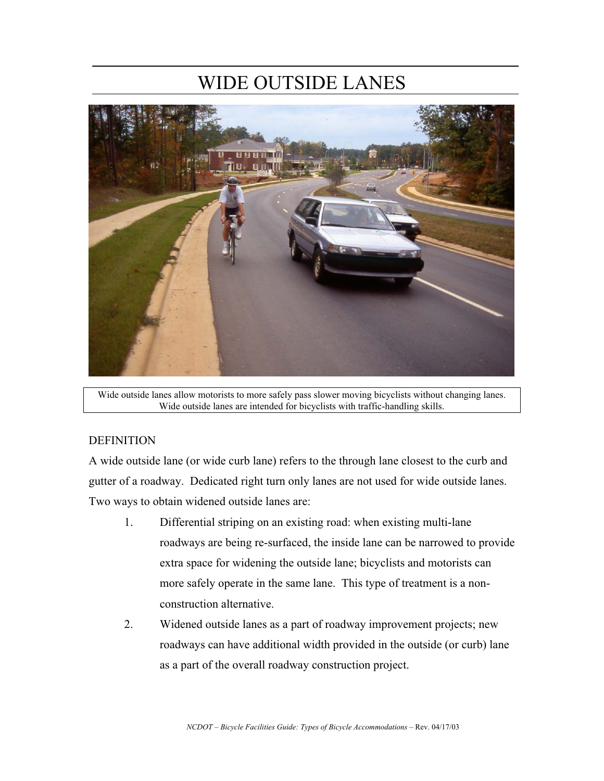# WIDE OUTSIDE LANES



Wide outside lanes allow motorists to more safely pass slower moving bicyclists without changing lanes. Wide outside lanes are intended for bicyclists with traffic-handling skills.

### **DEFINITION**

A wide outside lane (or wide curb lane) refers to the through lane closest to the curb and gutter of a roadway. Dedicated right turn only lanes are not used for wide outside lanes. Two ways to obtain widened outside lanes are:

- 1. Differential striping on an existing road: when existing multi-lane roadways are being re-surfaced, the inside lane can be narrowed to provide extra space for widening the outside lane; bicyclists and motorists can more safely operate in the same lane. This type of treatment is a nonconstruction alternative.
- 2. Widened outside lanes as a part of roadway improvement projects; new roadways can have additional width provided in the outside (or curb) lane as a part of the overall roadway construction project.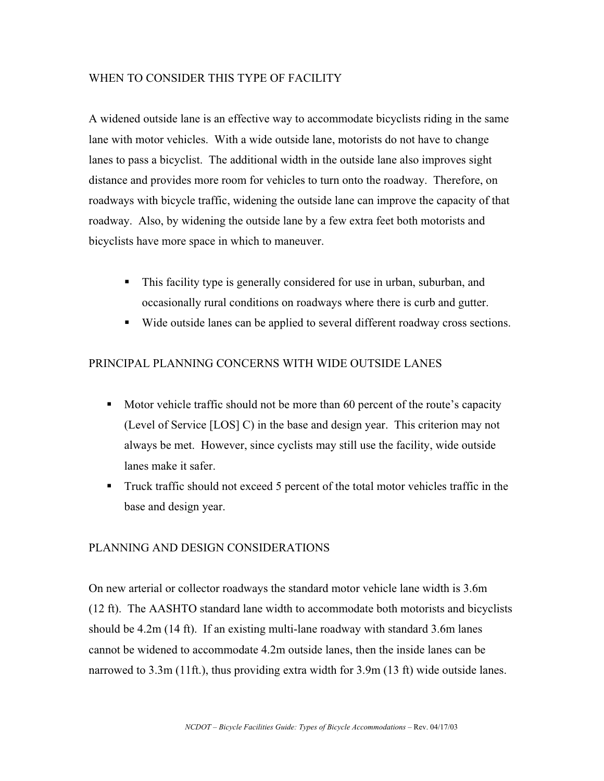### WHEN TO CONSIDER THIS TYPE OF FACILITY

A widened outside lane is an effective way to accommodate bicyclists riding in the same lane with motor vehicles. With a wide outside lane, motorists do not have to change lanes to pass a bicyclist. The additional width in the outside lane also improves sight distance and provides more room for vehicles to turn onto the roadway. Therefore, on roadways with bicycle traffic, widening the outside lane can improve the capacity of that roadway. Also, by widening the outside lane by a few extra feet both motorists and bicyclists have more space in which to maneuver.

- This facility type is generally considered for use in urban, suburban, and occasionally rural conditions on roadways where there is curb and gutter.
- Wide outside lanes can be applied to several different roadway cross sections.

### PRINCIPAL PLANNING CONCERNS WITH WIDE OUTSIDE LANES

- Motor vehicle traffic should not be more than 60 percent of the route's capacity (Level of Service [LOS] C) in the base and design year. This criterion may not always be met. However, since cyclists may still use the facility, wide outside lanes make it safer.
- Truck traffic should not exceed 5 percent of the total motor vehicles traffic in the base and design year.

### PLANNING AND DESIGN CONSIDERATIONS

On new arterial or collector roadways the standard motor vehicle lane width is 3.6m (12 ft). The AASHTO standard lane width to accommodate both motorists and bicyclists should be 4.2m (14 ft). If an existing multi-lane roadway with standard 3.6m lanes cannot be widened to accommodate 4.2m outside lanes, then the inside lanes can be narrowed to 3.3m (11ft.), thus providing extra width for 3.9m (13 ft) wide outside lanes.